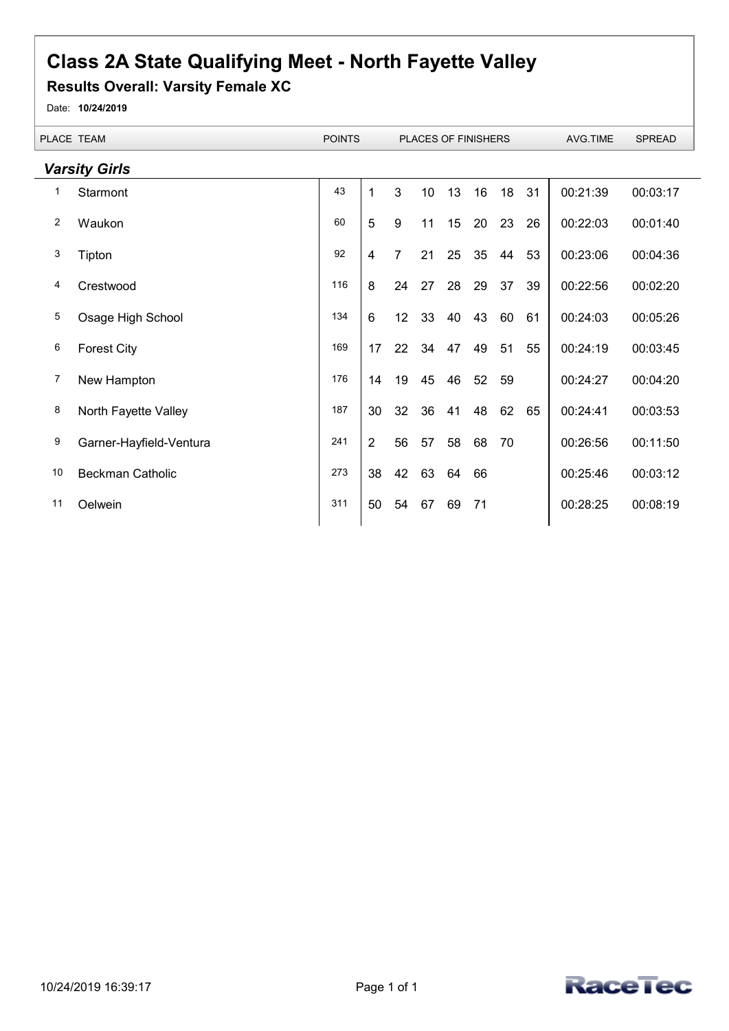## **Class 2A State Qualifying Meet - North Fayette Valley**

## **Results Overall: Varsity Female XC**

Date: **10/24/2019**

|    | <b>PLACE TEAM</b>       | <b>POINTS</b> |                 |                | <b>PLACES OF FINISHERS</b> |    |    |    |    | AVG.TIME | <b>SPREAD</b> |
|----|-------------------------|---------------|-----------------|----------------|----------------------------|----|----|----|----|----------|---------------|
|    | <b>Varsity Girls</b>    |               |                 |                |                            |    |    |    |    |          |               |
| 1  | Starmont                | 43            | $\mathbf 1$     | 3              | 10 <sup>1</sup>            | 13 | 16 | 18 | 31 | 00:21:39 | 00:03:17      |
| 2  | Waukon                  | 60            | 5               | 9              | 11                         | 15 | 20 | 23 | 26 | 00:22:03 | 00:01:40      |
| 3  | Tipton                  | 92            | 4               | $\overline{7}$ | 21                         | 25 | 35 | 44 | 53 | 00:23:06 | 00:04:36      |
| 4  | Crestwood               | 116           | 8               | 24             | 27                         | 28 | 29 | 37 | 39 | 00:22:56 | 00:02:20      |
| 5  | Osage High School       | 134           | $6\phantom{1}6$ | 12             | 33                         | 40 | 43 | 60 | 61 | 00:24:03 | 00:05:26      |
| 6  | <b>Forest City</b>      | 169           | 17              | 22             | 34                         | 47 | 49 | 51 | 55 | 00:24:19 | 00:03:45      |
| 7  | New Hampton             | 176           | 14              | 19             | 45                         | 46 | 52 | 59 |    | 00:24:27 | 00:04:20      |
| 8  | North Fayette Valley    | 187           | 30              | 32             | 36                         | 41 | 48 | 62 | 65 | 00:24:41 | 00:03:53      |
| 9  | Garner-Hayfield-Ventura | 241           | $\overline{2}$  | 56             | 57                         | 58 | 68 | 70 |    | 00:26:56 | 00:11:50      |
| 10 | <b>Beckman Catholic</b> | 273           | 38              | 42             | 63                         | 64 | 66 |    |    | 00:25:46 | 00:03:12      |
| 11 | Oelwein                 | 311           | 50              | 54             | 67                         | 69 | 71 |    |    | 00:28:25 | 00:08:19      |
|    |                         |               |                 |                |                            |    |    |    |    |          |               |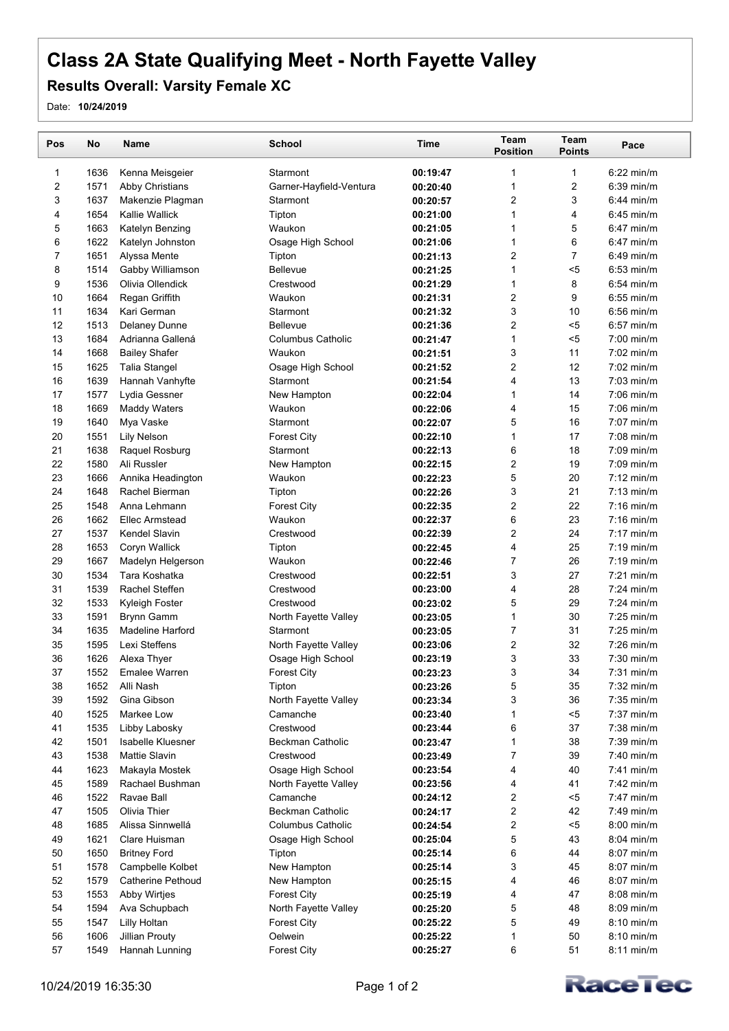## **Class 2A State Qualifying Meet - North Fayette Valley**

## **Results Overall: Varsity Female XC**

Date: **10/24/2019**

| Pos | No   | <b>Name</b>              | <b>School</b>                    | <b>Time</b> | <b>Team</b><br><b>Position</b> | Team<br><b>Points</b> | Pace         |  |
|-----|------|--------------------------|----------------------------------|-------------|--------------------------------|-----------------------|--------------|--|
| 1   | 1636 | Kenna Meisgeier          | Starmont                         | 00:19:47    | 1                              | 1                     | $6:22$ min/m |  |
| 2   | 1571 | Abby Christians          | Garner-Hayfield-Ventura          | 00:20:40    | 1                              | 2                     | $6:39$ min/m |  |
| 3   | 1637 | Makenzie Plagman         | Starmont                         | 00:20:57    | 2                              | 3                     | $6:44$ min/m |  |
| 4   | 1654 | Kallie Wallick           | Tipton                           | 00:21:00    | 1                              | 4                     | $6.45$ min/m |  |
| 5   | 1663 | Katelyn Benzing          | Waukon                           | 00:21:05    | 1                              | 5                     | 6:47 min/m   |  |
| 6   | 1622 | Katelyn Johnston         | Osage High School                | 00:21:06    | 1                              | 6                     | $6:47$ min/m |  |
| 7   | 1651 | Alyssa Mente             | Tipton                           | 00:21:13    | 2                              | 7                     | $6:49$ min/m |  |
| 8   | 1514 | Gabby Williamson         | <b>Bellevue</b>                  | 00:21:25    | 1                              | $5$                   | $6:53$ min/m |  |
| 9   | 1536 | Olivia Ollendick         | Crestwood                        | 00:21:29    | 1                              | 8                     | $6:54$ min/m |  |
| 10  | 1664 | Regan Griffith           | Waukon                           | 00:21:31    | 2                              | 9                     | $6:55$ min/m |  |
| 11  | 1634 | Kari German              | Starmont                         | 00:21:32    | 3                              | 10                    | $6:56$ min/m |  |
| 12  | 1513 | <b>Delaney Dunne</b>     | Bellevue                         | 00:21:36    | 2                              | $5$                   | $6:57$ min/m |  |
| 13  | 1684 | Adrianna Gallená         | <b>Columbus Catholic</b>         | 00:21:47    | 1                              | $5$                   | $7:00$ min/m |  |
| 14  | 1668 | <b>Bailey Shafer</b>     | Waukon                           | 00:21:51    | 3                              | 11                    | 7:02 min/m   |  |
| 15  | 1625 | <b>Talia Stangel</b>     | Osage High School                | 00:21:52    | 2                              | 12                    | $7:02$ min/m |  |
| 16  | 1639 | Hannah Vanhyfte          | Starmont                         | 00:21:54    | 4                              | 13                    | $7:03$ min/m |  |
| 17  | 1577 | Lydia Gessner            | New Hampton                      | 00:22:04    | 1                              | 14                    | 7:06 min/m   |  |
| 18  | 1669 | <b>Maddy Waters</b>      | Waukon                           | 00:22:06    | 4                              | 15                    | $7:06$ min/m |  |
| 19  | 1640 | Mya Vaske                | Starmont                         | 00:22:07    | 5                              | 16                    | $7:07$ min/m |  |
| 20  | 1551 | <b>Lily Nelson</b>       | <b>Forest City</b>               | 00:22:10    | 1                              | 17                    | $7:08$ min/m |  |
| 21  | 1638 | Raquel Rosburg           | Starmont                         | 00:22:13    | 6                              | 18                    | 7:09 min/m   |  |
| 22  | 1580 | Ali Russler              | New Hampton                      | 00:22:15    | 2                              | 19                    | $7:09$ min/m |  |
| 23  | 1666 | Annika Headington        | Waukon                           | 00:22:23    | 5                              | 20                    | $7:12$ min/m |  |
| 24  | 1648 | Rachel Bierman           | Tipton                           | 00:22:26    | 3                              | 21                    | $7:13$ min/m |  |
| 25  | 1548 | Anna Lehmann             | <b>Forest City</b>               | 00:22:35    | 2                              | 22                    | $7:16$ min/m |  |
| 26  | 1662 | <b>Ellec Armstead</b>    | Waukon                           | 00:22:37    | 6                              | 23                    | $7:16$ min/m |  |
| 27  | 1537 | Kendel Slavin            | Crestwood                        | 00:22:39    | 2                              | 24                    | $7:17$ min/m |  |
| 28  | 1653 | Coryn Wallick            | Tipton                           | 00:22:45    | 4                              | 25                    | $7:19$ min/m |  |
| 29  | 1667 | Madelyn Helgerson        | Waukon                           | 00:22:46    | 7                              | 26                    | $7:19$ min/m |  |
| 30  | 1534 | Tara Koshatka            | Crestwood                        | 00:22:51    | 3                              | 27                    | $7:21$ min/m |  |
| 31  | 1539 | Rachel Steffen           | Crestwood                        | 00:23:00    | 4                              | 28                    | $7:24$ min/m |  |
| 32  | 1533 | Kyleigh Foster           | Crestwood                        | 00:23:02    | 5                              | 29                    | 7:24 min/m   |  |
| 33  | 1591 | <b>Brynn Gamm</b>        | North Fayette Valley             | 00:23:05    | 1                              | 30                    | $7:25$ min/m |  |
| 34  | 1635 | <b>Madeline Harford</b>  | Starmont                         | 00:23:05    | 7                              | 31                    | $7:25$ min/m |  |
| 35  | 1595 | Lexi Steffens            | North Fayette Valley             | 00:23:06    | 2                              | 32                    | $7:26$ min/m |  |
| 36  | 1626 | Alexa Thyer              | Osage High School                | 00:23:19    | 3                              | 33                    | $7:30$ min/m |  |
| 37  | 1552 | <b>Emalee Warren</b>     | <b>Forest City</b>               | 00:23:23    | 3                              | 34                    | $7:31$ min/m |  |
| 38  | 1652 | Alli Nash                | Tipton                           | 00:23:26    | 5                              | 35                    | 7:32 min/m   |  |
| 39  | 1592 | Gina Gibson              | North Fayette Valley             | 00:23:34    | 3                              | 36                    | 7:35 min/m   |  |
| 40  | 1525 | Markee Low               | Camanche                         | 00:23:40    | 1                              | $< 5$                 | 7:37 min/m   |  |
| 41  | 1535 | Libby Labosky            | Crestwood                        | 00:23:44    | 6                              | 37                    | $7:38$ min/m |  |
| 42  | 1501 | Isabelle Kluesner        | <b>Beckman Catholic</b>          | 00:23:47    | 1                              | 38                    | 7:39 min/m   |  |
| 43  | 1538 | Mattie Slavin            | Crestwood                        | 00:23:49    | 7                              | 39                    | 7:40 min/m   |  |
| 44  | 1623 | Makayla Mostek           |                                  | 00:23:54    | 4                              | 40                    | $7:41$ min/m |  |
| 45  | 1589 | Rachael Bushman          | Osage High School                |             | 4                              | 41                    | 7:42 min/m   |  |
| 46  | 1522 | Ravae Ball               | North Fayette Valley<br>Camanche | 00:23:56    | 2                              | $5$                   | $7:47$ min/m |  |
| 47  | 1505 | Olivia Thier             | <b>Beckman Catholic</b>          | 00:24:12    | 2                              | 42                    | 7:49 min/m   |  |
|     | 1685 | Alissa Sinnwellá         | <b>Columbus Catholic</b>         | 00:24:17    |                                | $5$                   | $8:00$ min/m |  |
| 48  |      |                          |                                  | 00:24:54    | 2                              |                       |              |  |
| 49  | 1621 | Clare Huisman            | Osage High School                | 00:25:04    | 5                              | 43                    | $8:04$ min/m |  |
| 50  | 1650 | <b>Britney Ford</b>      | Tipton                           | 00:25:14    | 6                              | 44                    | $8:07$ min/m |  |
| 51  | 1578 | Campbelle Kolbet         | New Hampton                      | 00:25:14    | 3                              | 45                    | 8:07 min/m   |  |
| 52  | 1579 | <b>Catherine Pethoud</b> | New Hampton                      | 00:25:15    | 4                              | 46                    | 8:07 min/m   |  |
| 53  | 1553 | <b>Abby Wirtjes</b>      | <b>Forest City</b>               | 00:25:19    | 4                              | 47                    | 8:08 min/m   |  |
| 54  | 1594 | Ava Schupbach            | North Fayette Valley             | 00:25:20    | 5                              | 48                    | 8:09 min/m   |  |
| 55  | 1547 | Lilly Holtan             | <b>Forest City</b>               | 00:25:22    | 5                              | 49                    | $8:10$ min/m |  |
| 56  | 1606 | <b>Jillian Prouty</b>    | Oelwein                          | 00:25:22    | 1                              | 50                    | $8:10$ min/m |  |
| 57  | 1549 | Hannah Lunning           | <b>Forest City</b>               | 00:25:27    | 6                              | 51                    | 8:11 min/m   |  |